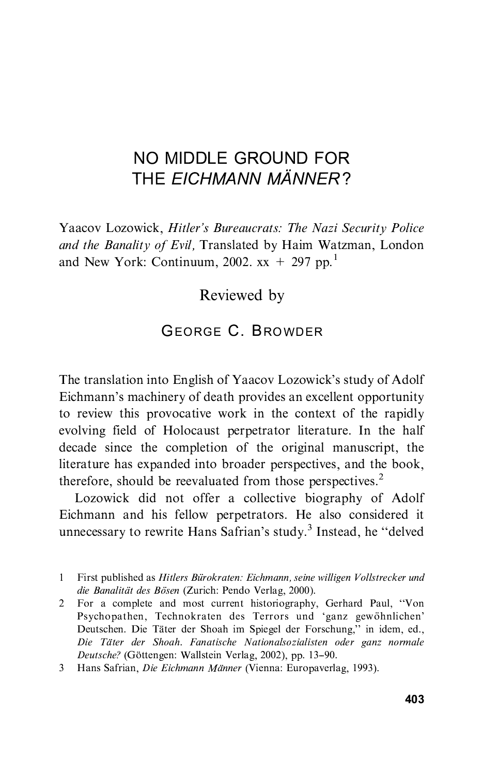## NO MIDDLE GROUND FOR THE FICHMANN MÄNNER? THE EICHMANN MANNER ?

Yaacov Lozowick, Hitler's Bureaucrats: The Nazi Security Police<br>and the Banality of Evil. Translated by Haim Watzman, London and the Banality of European and  $\frac{1}{2}$  and New York: Continuum 2002  $\mathbf{v} + 207$  pp  $\frac{1}{2}$ and New York: Continuum,  $2002$ .  $xx + 297$  pp.

Reviewed by

## **GEORGE C. BROWDER** GEORGE C. BROWDER

The translation into English of Yaacov Lozowick's study of Adolf Eichmann's machinery of death provides an excellent opportunity<br>to review this provocative work in the context of the rapidly evolving field of Holocaust perpetrator literature. In the half decade since the completion of the original manuscript, the literature has expanded into broader perspectives, and the book, therefore, should be reevaluated from those perspectives.<sup>2</sup>

Lozowick did not offer a collective biography of Adolf Eichmann and his fellow perpetrators. He also considered it unnecessary to rewrite Hans Safrian's study.<sup>3</sup> Instead, he  $\cdot$ 'delved

 $2^{\circ}$ For a complete and most current historiography, Gerhard Paul, "Von Psychopathen, Technokraten des Terrors und 'ganz gewöhnlichen'<br>Peutschen Die Täter der Shooh im Spiegel der Eorschung " in idem ed Deutschen. Die Täter der Shoah im Spiegel der Forschung," in idem, ed., Die Täter der Shoah. Fanatische Nationalsozialisten oder ganz normale Deutsche? (Göttengen: Wallstein Verlag, 2002), pp. 13-90.

First published as Hitlers Bürokraten: Eichmann, seine willigen Vollstrecker und die Banalität des Bösen (Zurich: Pendo Verlag, 2000).  $\mathbf{1}$ 

<sup>3</sup> Hans Safrian, Die Eichmann Männer (Vienna: Europaverlag, 1993). 3 Hans Safrian, Die Eichmann MaÈnner (Vienna: Europaverlag, 1993).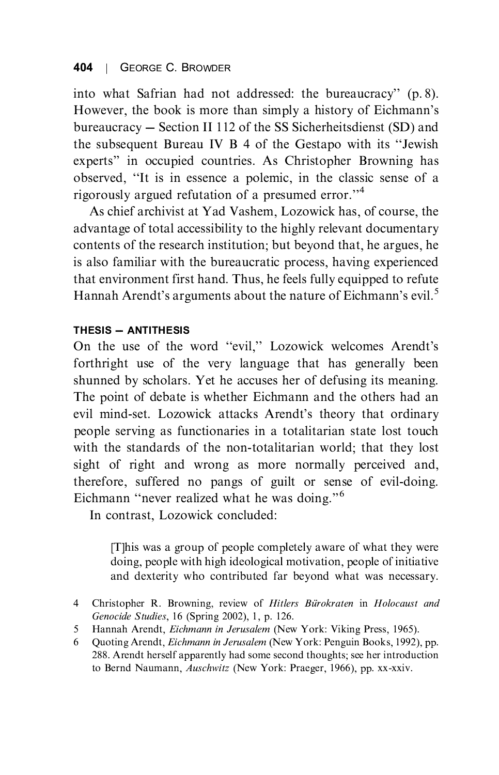into what Safrian had not addressed: the bureaucracy'' (p. 8). However, the book is more than simply a history of Eichmann's bureaucracy – Section II 112 of the SS Sicherheitsdienst (SD) and the subsequent Bureau IV B 4 of the Gestapo with its "Jewish"  $\frac{1}{\sqrt{1 + \frac{1}{\sqrt{1 + \frac{1}{\sqrt{1 + \frac{1}{\sqrt{1 + \frac{1}{\sqrt{1 + \frac{1}{\sqrt{1 + \frac{1}{\sqrt{1 + \frac{1}{\sqrt{1 + \frac{1}{\sqrt{1 + \frac{1}{\sqrt{1 + \frac{1}{\sqrt{1 + \frac{1}{\sqrt{1 + \frac{1}{\sqrt{1 + \frac{1}{\sqrt{1 + \frac{1}{\sqrt{1 + \frac{1}{\sqrt{1 + \frac{1}{\sqrt{1 + \frac{1}{\sqrt{1 + \frac{1}{\sqrt{1 + \frac{1}{\sqrt{1 + \frac{1}{\sqrt{1 + \frac{1}{\sqrt{1 +$  $\frac{1}{2}$  is in the classical polemic, in the classic sense of a presumed error.<sup>14</sup><br>As chief archivist at Nad Vashem Lozowick has of course the

advantage of total accessibility to the highly relevant documentary contents of the research institution; but beyond that, he argues, he is also familiar with the bureaucratic process, having experienced that environment first hand. Thus, he feels fully equipped to refute Hannah Arendt's arguments about the nature of Eichmann's evil.<sup>5</sup>

## THESIS - ANTITHESIS

On the use of the word "evil," Lozowick welcomes Arendt's<br>forthright use of the yery language that has canorally been forthright use of the very language that has generally been shunned by scholars. Yet he accuses her of defusing its meaning. The point of debate is whether Eichmann and the others had an evil mind-set. Lozowick attacks Arendt's theory that ordinary people serving as functionaries in a totalitarian state lost touch sight of right and wrong as more normally perceived and, therefore, suffered no pangs of guilt or sense of evil-doing. Eichmann "never realized what he was doing."<sup>6</sup><br>
In contrast, Lozowiek concluded:

In contrast, Lozowick concluded:

[T]his was a group of people completely aware of what they were and dexterity who contributed far beyond what was necessary. and dexterity who contributed far beyond what was necessary.

- 4 Christopher R. Browning, review of *Hitlers Bürokraten* in *Holocaust and Genocide Studies*, 16 (Spring 2002), 1, p. 126.
- Hannah Arendt, *Eichmann in Jerusalem* (New York: Viking Press, 1965). 5 Hannah Arendt, *Eichmann in Jerusalem* (New York: Viking Press, 1965).<br>6 Ouoting Arendt, *Eichmann in Jerusalem* (New York: Penguin Books, 1992), pp.
- 288. Arendt herself apparently had some second thoughts; see her introduction to Bernd Naumann, Auschwitz (New York: Praeger, 1966), pp. xx-xxiv.  $\sim$  Bernard Naumann, Auschwitz (New York: Praeger, 1966), pp. xx-xxiv...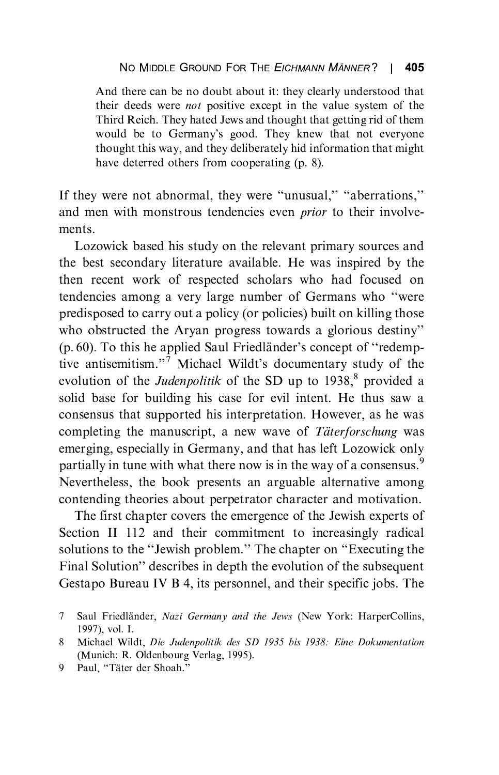And there can be no doubt about it: they clearly understood that their deeds were *not* positive except in the value system of the Third Reich. They hated Jews and thought that getting rid of them would be to Germany's good. They knew that not everyone<br>thought this way and they deliberately hid information that might the egen this way, and they determined the information that might have determined others from cooperating (p. 8).

If they were not abnormal, they were "unusual," "aberrations," and men with monstrous tendencies even *prior* to their involvements

Lozowick based his study on the relevant primary sources and the best secondary literature available. He was inspired by the then recent work of respected scholars who had focused on tendencies among a very large number of Germans who "were predisposed to carry out a policy (or policies) built on killing those who obstructed the Aryan progress towards a glorious destiny''<br>  $(9.60)$ . To this be applied Saul Friedländer's concent of "redemn" (p. 60). To this he applied Saul Friedländer's concept of "redemp-<br>tive antisemitism."<sup>7</sup> Michael Wildt's documentary study of the tive antisemitism." Michael Wildt's documentary study of the evolution of the *Indennalitik* of the SD up to 1928<sup>8</sup> provided a evolution of the *Judenpolitik* of the SD up to  $1938$ ,<sup>8</sup> provided a solid base for building his case for evil intent. He thus saw a consensus that supported his interpretation. However, as he was completing the manuscript, a new wave of Täterforschung was emerging, especially in Germany, and that has left Lozowick only partially in tune with what there now is in the way of a consensus.<sup>9</sup> Nevertheless, the book presents an arguable alternative among contending theories about perpetrator character and motivation.

The first chapter covers the emergence of the Jewish experts of Section II 112 and their commitment to increasingly radical solutions to the "Jewish problem." The chapter on "Executing the Final Solution" describes in donth the evolution of the subcompute Final Solution'' describes in depth the evolution of the subsequent Gestapo Bureau IV B 4, its personnel, and their specific jobs. The  $\Gamma$  and  $\Gamma$  and  $\Gamma$  and the internal specific jobs. Their specific jobs. Their specific jobs. Then

Saul Friedländer, Nazi Germany and the Jews (New York: HarperCollins, 1997), vol. I.  $\tau$ 

Michael Wildt, Die Judenpolitik des SD 1935 bis 1938: Eine Dokumentation 8 (Munich: R. Oldenbourg Verlag, 1995).

<sup>(</sup>Munich: R. Oldenbourg Verlag, 1995).<br>
9 Paul, "Täter der Shoah."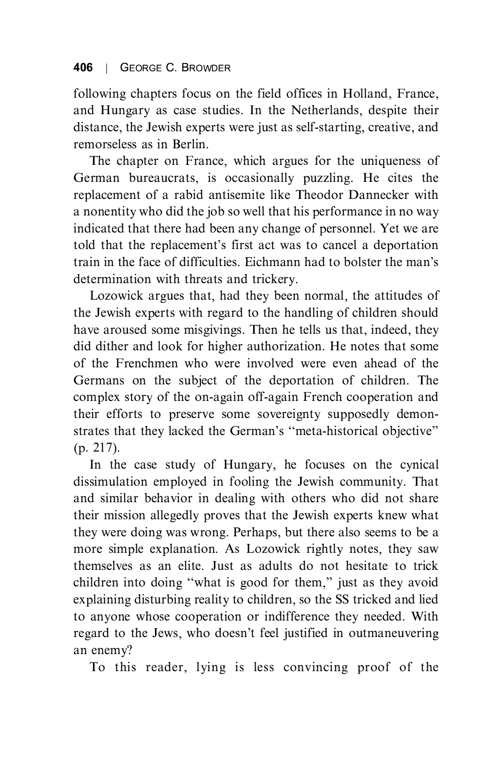following chapters focus on the field offices in Holland, France, and Hungary as case studies. In the Netherlands, despite their distance, the Jewish experts were just as self-starting, creative, and remorseless as in Berlin.

The chapter on France, which argues for the uniqueness of German bureaucrats, is occasionally puzzling. He cites the replacement of a rabid antisemite like Theodor Dannecker with a nonentity who did the job so well that his performance in no way indicated that there had been any change of personnel. Yet we are Indicated that the replacement's first act was to cancel a deportation<br>train in the foce of difficulties. Fightnann had to heleter the man's train in the face of difficulties. Eichmann had to bolster the man's

Lozowick argues that, had they been normal, the attitudes of the Jewish experts with regard to the handling of children should have aroused some misgivings. Then he tells us that, indeed, they did dither and look for higher authorization. He notes that some of the Frenchmen who were involved were even ahead of the Germans on the subject of the deportation of children. The complex story of the on-again off-again French cooperation and their efforts to preserve some sovereignty supposedly demonstrates that they lacked the German's "meta-historical objective"

(p. 217).<br>In the case study of Hungary, he focuses on the cynical dissimulation employed in fooling the Jewish community. That and similar behavior in dealing with others who did not share their mission allegedly proves that the Jewish experts knew what they were doing was wrong. Perhaps, but there also seems to be a more simple explanation. As Lozowick rightly notes, they saw themselves as an elite. Just as adults do not hesitate to trick children into doing "what is good for them," just as they avoid<br>explaining disturbing reality to children, so the SS tricked and lied explaining disturbing reality to children, so the SS tricked and lied<br>to anyone whose cooperation or indifference they needed. With to any one whose cooperation or indifference they increase with<br>regard to the Jews, who doesn't feel justified in outmaneuvering

an enemy?<br>To this reader, lying is less convincing proof of the To this reader, lying is less convincing proof of the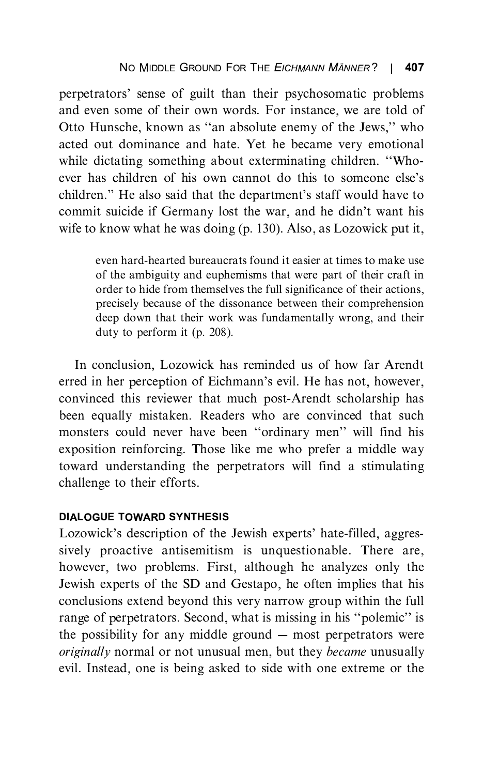perpetrators' sense of guilt than their psychosomatic problems and even some of the some of the Igual Contract of the Sextence of the Sextence of the Sextence and help Not the become very emotional acted out dominance and hate. Yet he became very emotional while dictating something about exterminating children. "Whowhere the children of his own cannot do this to someone else's<br>children." He also said that the department's staff would have to children.'' He also said that the department's staff would have to commit suicide if Germany lost the war, and he didn't want his wife to know what he was doing (p. 130). Also, as Lozowick put it,

> even hard-hearted bureaucrats found it easier at times to make use of the ambiguity and euphemisms that were part of their craft in order to hide from themselves the full significance of their actions, precisely because of the dissonance between their comprehension deep down that their work was fundamentally wrong, and their duty to perform it  $(p. 208)$ .  $\mathbf{F}$  and  $\mathbf{F}$  perform it (p. 208).

erred in her perception of Eichmann's evil. He has not, however, convinced this reviewer that much post-Arendt scholarship has been equally mistaken. Readers who are convinced that such monsters could never have been "ordinary men" will find his<br>exposition reinforcing. Those like me who prefer a middle way exposition reinforcing. Those like me who prefer a middle way toward understanding the perpetrators will find a stimulating challenge to their efforts. challenge to the their efforts.

## **DIALOGUE TOWARD SYNTHESIS**

Lozowick's description of the Jewish experts' hate-filled, aggres-<br>sively preactive anticomition is unquestionable. There are sively proactive antisemitism is unquestionable. There are, however, two problems. First, although he analyzes only the Jewish experts of the SD and Gestapo, he often implies that his conclusions extend beyond this very narrow group within the full range of perpetrators. Second, what is missing in his "polemic" is<br>the possibility for any middle ground whost perpetrators were the possibility for any middle ground ---- most perpetrators were<br>*originally* normal or not unusual men, but they *became* unusually evil. Instead, one is being asked to side with one extreme or the  $\epsilon$  is being as the side with one extreme or the with our theorem or the  $\epsilon$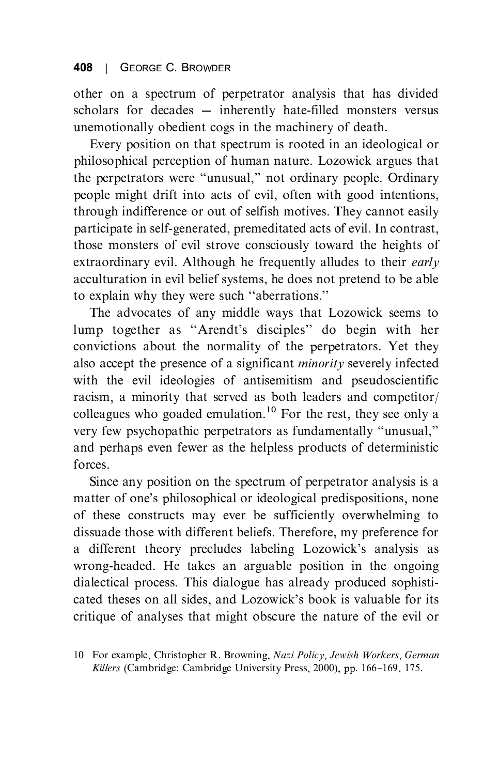other on a spectrum of perpetrator analysis that has divided unemotionally obedient cogs in the machinery of death.

Every position on that spectrum is rooted in an ideological or philosophical perception of human nature. Lozowick argues that the perpetrators were "unusual," not ordinary people. Ordinary<br>people might drift into exts of avil. often with good intentions. people might drift into acts of evil, often with good intentions, through indifference or out of selfish motives. They cannot easily participate in self-generated, premeditated acts of evil. In contrast, those monsters of evil strove consciously toward the heights of extraordinary evil. Although he frequently alludes to their *early* acculturation in evil belief systems, he does not pretend to be able to explain why they were such "aberrations."<br>The advocates of any middle ways that I ozowick seems to

lump together as "Arendt's disciples" do begin with her convictions about the normality of the perpetrators. Yet they also accept the presence of a significant *minority* severely infected with the evil ideologies of antisemitism and pseudoscientific racism, a minority that served as both leaders and competitor/ colleagues who goaded emulation.<sup>10</sup> For the rest, they see only a colleagues who goaded emulation.<sup>11</sup> For the rest, they see only a<br>very few psychopathic perpetrators as fundamentally "unusual." very few psychopathic perpetrators as fundamentally "unusual,"<br>and perhaps aven favor as the helpless products of deterministic and perhaps even fewer as the helpless products of deterministic

Since any position on the spectrum of perpetrator analysis is a Since any position on the spectrum of perpetrator analysis is a<br>matter of one's philosophical or ideological predispositions, none of these constructs may ever be sufficiently overwhelming to dissuade those with different beliefs. Therefore, my preference for a different theory precludes labeling Lozowick's analysis as wrong-headed. He takes an arguable position in the ongoing dialectical process. This dialogue has already produced sophistiexted theses on all sides, and Lozowick's book is valuable for its<br>critique of analyses that might obscure the nature of the avil or critique of analyses that might obscure the nature of the evil or

<sup>10</sup> For example, Christopher R. Browning, *Nazi Policy, Jewish Workers, German Killers* (Cambridge: Cambridge University Press, 2000), pp. 166–169, 175. Killers (Cambridge: Cambridge University Press, 2000), pp. 166--169, 175.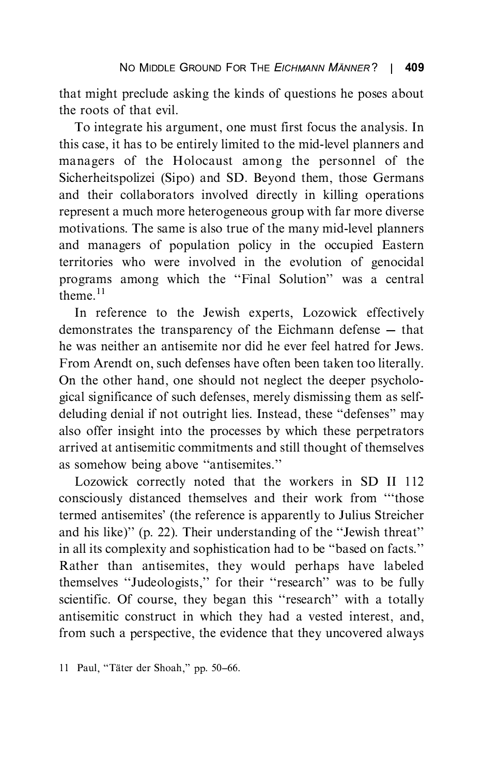that might preclude asking the kinds of questions he poses about

To integrate his argument, one must first focus the analysis. In this case, it has to be entirely limited to the mid-level planners and managers of the Holocaust among the personnel of the Sicherheitspolizei (Sipo) and SD. Bevond them, those Germans and their collaborators involved directly in killing operations represent a much more heterogeneous group with far more diverse motivations. The same is also true of the many mid-level planners and managers of population policy in the occupied Eastern territories who were involved in the evolution of genocidal programs among which the "Final Solution" was a central<br>theme.<sup>11</sup> theme.<sup>11</sup><br>In reference to the Jewish experts, Lozowick effectively

demonstrates the transparency of the Eichmann defense  $-$  that he was neither an antisemite nor did he ever feel hatred for Jews. From Arendt on, such defenses have often been taken too literally. On the other hand, one should not neglect the deeper psychological significance of such defenses, merely dismissing them as selfdeluding denial if not outright lies. Instead, these "defenses" may<br>also offer insight into the processes by which these perpetrators also offer insight into the processes by which these perpetrators as somehow being above "antisemites."<br>
Lozowisk correctly noted that the workers in SD II 112

Lozowick correctly noted that the workers in SD II 112 consciously distanced themselves and their work from "those termed antisemites' (the reference is apparently to Julius Streicher<br>and his like)'' (p. 22). Their understanding of the "Jawish threat" and his like)'' (p. 22). Their understanding of the ``Jewish threat'' in all its complexity and sophistication had to be "based on facts."<br>Rather than antisemites, they would perhaps have labeled themselves "Judeologists," for their "research" was to be fully<br>scientific Of course, they began this "research" with a totally scientific. Of course, they began this "research" with a totally antisemitic construct in which they had a vested interest, and, from such a perspective, the evidence that they uncovered always from such a perspective, the evidence that they uncovered always

<sup>11</sup> Paul, "Täter der Shoah," pp. 50-66.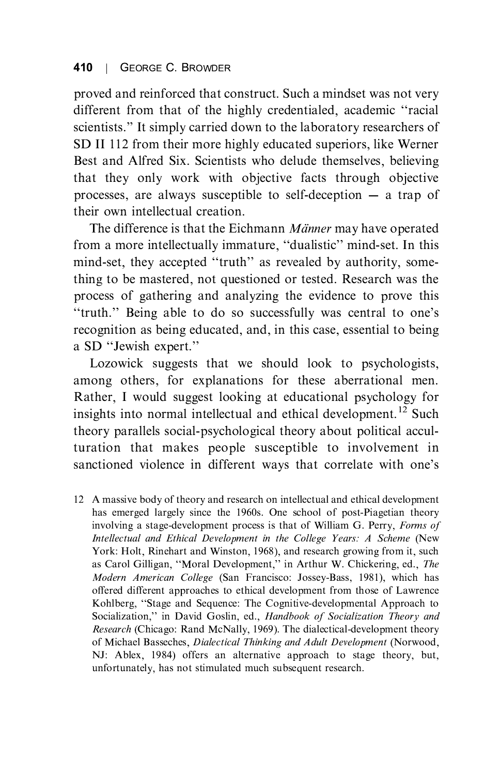proved and reinforced that construct. Such a mindset was not very different from that of the highly credentialed, academic "racial" scientists.'' It simply carried down to the laboratory researchers of<br>SD II 112 from their more highly educated superiors, like Werner SD II 112 from their more highly educated superiors, like Werner<br>Best and Alfred Six. Scientists who delude themselves, believing that they only work with objective facts through objective processes, are always susceptible to self-deception  $-$  a trap of their own intellectual creation

The difference is that the Eichmann *Männer* may have operated from a more intellectually immature, "dualistic" mind-set. In this mind-set, they accepted "truth" as revealed by authority, something to be mastered, not questioned or tested. Research was the process of gathering and analyzing the evidence to prove this process to gathering the analyzing the evidence to prove the<br>
"truth." Being able to do so successfully was central to one's<br>
recognition as being educated and in this case, essential to being recognition as being educated, and, in this case, essential to being a SD ``Jewish expert.''

Lozowick suggests that we should look to psychologists, among others, for explanations for these aberrational men. Rather, I would suggest looking at educational psychology for insights into normal intellectual and ethical development.<sup>12</sup> Such theory parallels social-psychological theory about political acculturation that makes people susceptible to involvement in sanctioned violence in different ways that correlate with one's

12 A massive body of theory and research on intellectual and ethical development has emerged largely since the 1960s. One school of post-Piagetian theory involving a stage-development process is that of William G. Perry, Forms of Intellectual and Ethical Development in the College Years: A Scheme (New York: Holt, Rinehart and Winston, 1968), and research growing from it, such as Carol Gilligan, "Moral Development," in Arthur W. Chickering, ed., The<br>Modern, American, College (San, Francisco: Jossey-Bass, 1981), which has Modern American College (San Francisco: Jossey-Bass, 1981), which has offered different approaches to ethical development from those of Lawrence Kohlberg, "Stage and Sequence: The Cognitive-developmental Approach to Socialization," in David Goslin, ed., Handbook of Socialization Theory and<br>Research (Chicago: Rand McNally, 1969). The dialectical development theory Research (Chicago: Rand McNally, 1969). The dialectical-development theory of Michael Basseches. *Dialectical Thinking and Adult Development* (Norwood, NJ: Ablex, 1984) offers an alternative approach to stage theory, but, unfortunately, has not stimulated much subsequent research.  $\mathbf{u}_1$  , has not stimulated much subsequent research.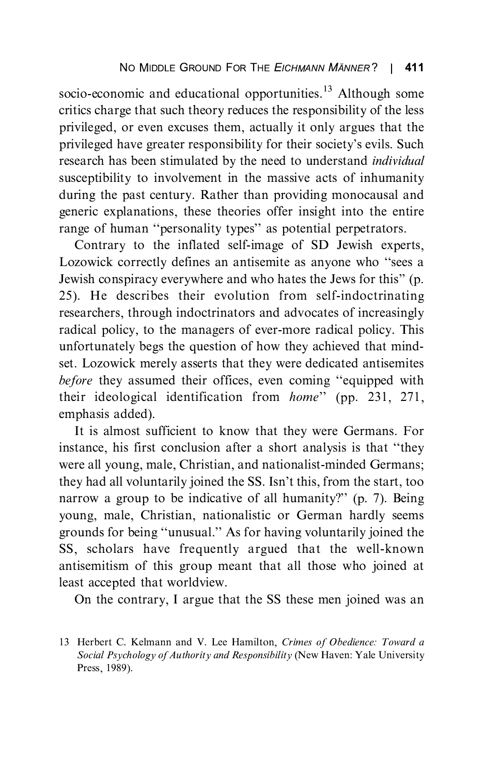socio-economic and educational opportunities.<sup>13</sup> Although some critics charge that such theory reduces the responsibility of the less privileged, or even excuses them, actually it only argues that the privileged have greater responsibility for their society's evils. Such<br>research has been stimulated by the need to understand individual research has been stimulated by the need to understand *individual* susceptibility to involvement in the massive acts of inhumanity during the past century. Rather than providing monocausal and generic explanations, these theories offer insight into the entire range of human "personality types" as potential perpetrators.<br>Contrary to the inflated self image of SD Jewish experts.

Contrary to the inflated self-image of SD Jewish experts,<br>Lozowick correctly defines an antisemite as anyone who "sees a Lowish conspiracy everywhere and who hates the Jews for this'' (p.<br>25) He describes their evolution from self-indectrinating 25). He describes their evolution from self-indoctrinating radical policy, to the managers of ever-more radical policy. This unfortunately begs the question of how they achieved that mindset. Lozowick merely asserts that they were dedicated antisemites before they assumed their offices, even coming "equipped with their ideological identification from *home*" (pp. 231, 271, amphasis added). emphasis added).<br>It is almost sufficient to know that they were Germans. For

instance, his first conclusion after a short analysis is that "they were all young, male, Christian, and nationalist-minded Germans; they had all voluntarily joined the SS. Isn't this, from the start, too narrow, a group to be indicative of all humanity?"  $(n, 7)$ . Being narrow a group to be indicative of all humanity?" (p. 7). Being<br>young, male, Christian, nationalistic or German hardly seems grounds for being "unusual." As for having voluntarily joined the<br>SS seekelers have frequently argued that the well known SS, scholars have frequently argued that the well-known antisemitism of this group meant that all those who joined at least accepted that worldview.

least accept that we can be a  $\sum_{i=1}^{n}$  are contrary,  $\sum_{i=1}^{n}$  and  $\sum_{i=1}^{n}$  the SS these means  $\sum_{i=1}^{n}$ 

<sup>13</sup> Herbert C. Kelmann and V. Lee Hamilton, Crimes of Obedience: Toward a Social Psychology of Authority and Responsibility (New Haven: Yale University Press, 1989). Press, 1989).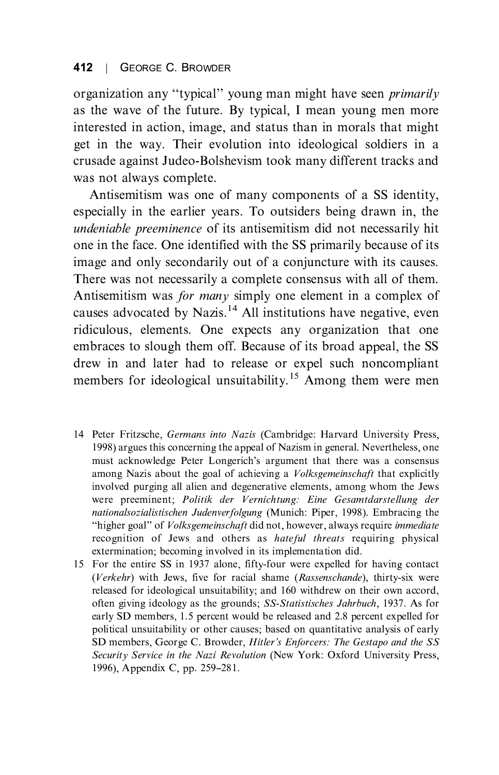#### 412  $\overline{1}$ 412 | GEORGE C. BROWDER

organization any "typical" young man might have seen *primarily* as the wave of the future. By typical, I mean young men more interested in action, image, and status than in morals that might get in the way. Their evolution into ideological soldiers in a crusade against Judeo-Bolshevism took many different tracks and was not always complete.

Antisemitism was one of many components of a SS identity, especially in the earlier years. To outsiders being drawn in, the undeniable preeminence of its antisemitism did not necessarily hit one in the face. One identified with the SS primarily because of its image and only secondarily out of a conjuncture with its causes. There was not necessarily a complete consensus with all of them. Antisemitism was *for many* simply one element in a complex of causes advocated by Nazis.<sup>14</sup> All institutions have negative, even ridiculous, elements. One expects any organization that one embraces to slough them off. Because of its broad appeal, the SS drew in and later had to release or expel such noncompliant members for ideological unsuitability  $15$  Among them were man members for ideological unsuitability.<sup>11</sup> Among them were men

- 14 Peter Fritzsche, *Germans into Nazis* (Cambridge: Harvard University Press, 1998) argues this concerning the appeal of Nazism in general. Nevertheless, one must acknowledge Peter Longerich's argument that there was a consensus<br>among Nazis about the goal of achieving a *Valksgemeinschaft* that explicitly among Nazis about the goal of achieving a *Volksgemeinschaft* that explicitly involved purging all alien and degenerative elements, among whom the Jews were preeminent; Politik der Vernichtung: Eine Gesamtdarstellung der nationalsozialistischen Judenverfolgung (Munich: Piper, 1998). Embracing the "higher goal" of *Volksgemeinschaft* did not, however, always require *immediate*<br>recognition of Jews, and others as hataful threats requiring physical recognition of Jews and others as *hateful threats* requiring physical extermination; becoming involved in its implementation did.
- 15 For the entire SS in 1937 alone, fifty-four were expelled for having contact (Verkehr) with Jews, five for racial shame (Rassenschande), thirty-six were released for ideological unsuitability; and 160 withdrew on their own accord, often giving ideology as the grounds; SS-Statistisches Jahrbuch, 1937. As for early SD members, 1.5 percent would be released and 2.8 percent expelled for political unsuitability or other causes; based on quantitative analysis of early SD members, George C. Browder, *Hitler's Enforcers: The Gestapo and the SS*<br>Security Service in the Nazi Bayalution (New York: Oxford University Press Security Service in the Nazi Revolution (New York: Oxford University Press, 1996), Appendix C, pp. 259-281.  $19999 - p$  p  $19999 - p$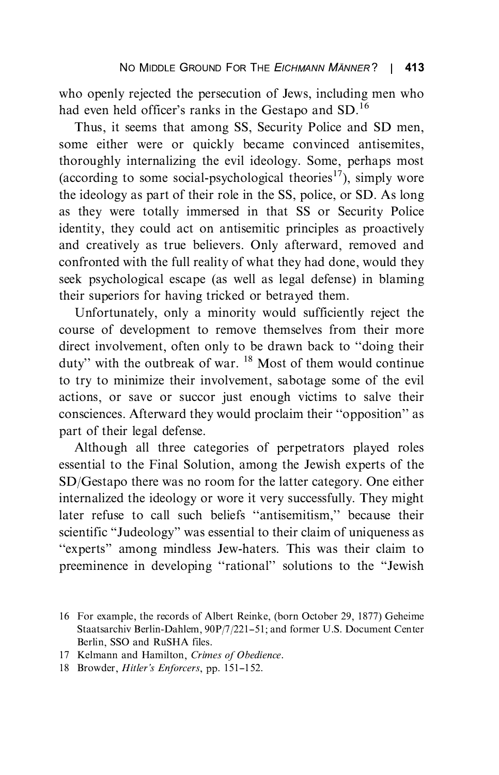had even held officer's ranks in the Gestapo and SD.<sup>16</sup><br>Thus, it seems that among SS. Security Police and SD men

Thus, it seems that among SS, Security Police and SD men, some either were or quickly became convinced antisemites, thoroughly internalizing the evil ideology. Some, perhaps most (according to some social-psychological theories<sup>17</sup>), simply wore the ideology as part of their role in the SS, police, or SD. As long as they were totally immersed in that SS or Security Police identity, they could act on antisemitic principles as proactively and creatively as true believers. Only afterward, removed and confronted with the full reality of what they had done, would they seek psychological escape (as well as legal defense) in blaming their superiors for having tricked or betraved them.

Unfortunately, only a minority would sufficiently reject the course of development to remove themselves from their more direct involvement, often only to be drawn back to "doing their duty'' with the outbreak of war.  $^{18}$  Most of them would continue to try to minimize their involvement, sabotage some of the evil consciences. Afterward they would proclaim their "opposition" as part of their legal defense.<br>Although all three categories of perpetrators played roles

essential to the Final Solution, among the Jewish experts of the SD/Gestapo there was no room for the latter category. One either internalized the ideology or wore it very successfully. They might later refuse to call such beliefs "antisemitism," because their<br>scientific "Judeology" was esceptial to their claim of uniqueness as scientific "Judeology" was essential to their claim of uniqueness as ``experts'' among mindless Jew-haters. This was their claim to preeminence in developing "rational" solutions to the "Jewish"

- 17 Kelmann and Hamilton, Crimes of Obedience.
- 18 Browder, *Hitler's Enforcers*, pp. 151–152.

<sup>16</sup> For example, the records of Albert Reinke, (born October 29, 1877) Geheime<br>Staatsarchiv Berlin-Dahlem, 90P/7/221-51; and former U.S. Document Center Berlin, SSO and RuSHA files.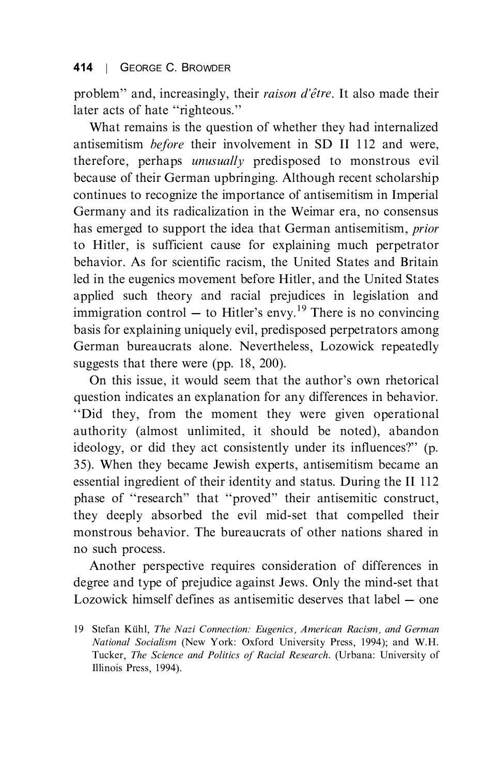problem" and, increasingly, their *raison d'être*. It also made their later acts of hate "righteous."<br>What remains is the question of whether they had internalized

antisemitism *before* their involvement in SD II 112 and were, therefore, perhaps *unusually* predisposed to monstrous evil because of their German upbringing. Although recent scholarship continues to recognize the importance of antisemitism in Imperial Germany and its radicalization in the Weimar era, no consensus has emerged to support the idea that German antisemitism, *prior* to Hitler, is sufficient cause for explaining much perpetrator behavior. As for scientific racism, the United States and Britain led in the eugenics movement before Hitler, and the United States applied such theory and racial prejudices in legislation and  $\frac{1}{2}$  in legislation  $\frac{1}{2}$  and radius prejudices in legislation and immigration control  $-$  to Hitler's envy.<sup>19</sup> There is no convincing basis for explaining uniquely evil, predisposed perpetrators among<br>German bureaucrats alone. Nevertheless, Lozowick repeatedly suggests that there were (pp.  $18, 200$ ).

On this issue, it would seem that the author's own rhetorical<br>question indicates an explanation for any differences in behavior. question indicates an explanation for any differences in behavior.<br>"Did they, from the moment they were given operational authority (almost unlimited, it should be noted), abandon ideology, or did they act consistently under its influences?" (p.<br>35) When they became Jawish experts, antisemitism became an 35). When they became Jewish experts, antisemitism became an essential ingredient of their identity and status. During the II 112 phase of  $\cdot$  research'' that  $\cdot$  proved'' their antisemitic construct, they decay a backed the quilt mid extent compalled their they deeply absorbed the evil mid-set that compelled their<br>monstrous behavior. The bureaucrats of other nations shared in no such process.

Another perspective requires consideration of differences in degree and type of prejudice against Jews. Only the mind-set that Lozowick himself defines as antisemitic deserves that label – one

<sup>19</sup> Stefan Kühl, The Nazi Connection: Eugenics, American Racism, and German National Socialism (New York: Oxford University Press, 1994); and W.H. Tucker, The Science and Politics of Racial Research. (Urbana: University of Illinois Press, 1994). Illinois Press, 1994).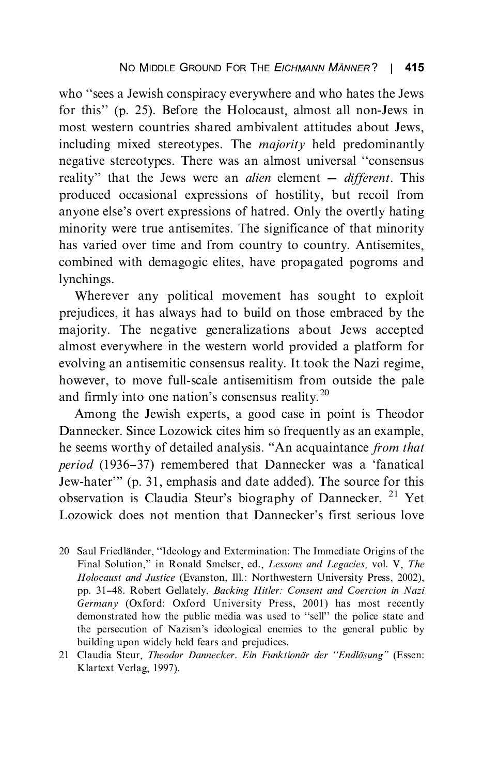for this" (p. 25). Before the Holocaust, almost all non-Jews in most western countries shared ambivalent attitudes about Jews most western countries shared ambivalent attitudes about Jews, including mixed stereotypes. The *majority* held predominantly negative stereotypes. There was an almost universal "consensus" reality'' that the Jews were an *alien* element  $-$  *different*. This anyone else's overt expressions of hatred. Only the overtly hating<br>minority, were true entiremites. The significance of that minority minority were true antisemites. The significance of that minority has varied over time and from country to country. Antisemites, combined with demagogic elites, have propagated pogroms and combined with demagogic elites, have propagated pogroms and lynchings.<br>Wherever any political movement has sought to exploit

prejudices, it has always had to build on those embraced by the majority. The negative generalizations about Jews accepted almost everywhere in the western world provided a platform for evolving an antisemitic consensus reality. It took the Nazi regime, however, to move full-scale antisemitism from outside the pale and firmly into one nation's consensus reality.<sup>20</sup><br>Among the Jawish experts, a good case in paint is Theodor

Among the Jewish experts, a good case in point is Theodor<br>Dannecker. Since Lozowick cites him so frequently as an example, he seems worthy of detailed analysis. "An acquaintance from that period (1936–37) remembered that Dannecker was a 'fanatical Jew-hater''' (p. 31, emphasis and date added). The source for this observation is Claudia Staur's biography of Dannecker  $^{21}$  Vet observation is Claudia Steur's biography of Dannecker. <sup>21</sup> Yet Lozowick does not mention that Dannecker's first serious love

- Final Solution," in Ronald Smelser, ed., *Lessons and Legacies*, vol. V, *The Hologyet and Justice (Examplement III: Northwesterm University Press*, 2002). Holocaust and Justice (Evanston, Ill.: Northwestern University Press, 2002), pp. 31-48. Robert Gellately, *Backing Hitler: Consent and Coercion in Nazi* Germany (Oxford: Oxford University Press, 2001) has most recently demonstrated how the public media was used to "sell" the police state and<br>the persecution of Nazism's ideological enemies to the general public by the persecution of Nazism's ideological enemies to the general public by
- 21 Claudia Steur, *Theodor Dannecker. Ein Funktionär der "Endlösung"* (Essen:<br>Klartext Verlag, 1997)  $\sum_{i=1}^{n}$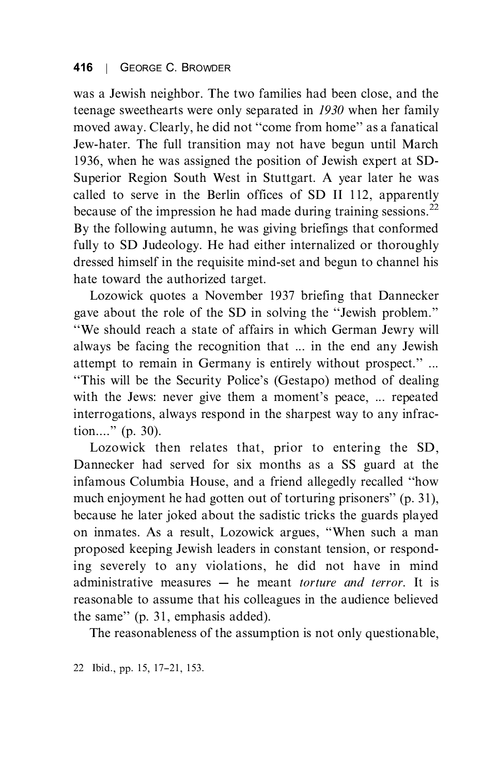was a Jewish neighbor. The two families had been close, and the teenage sweethearts were only separated in 1930 when her family moved away. Clearly, he did not "come from home" as a fanatical<br>Jow heter. The full transition may not have been until March Jew-hater. The full transition may not have begun until March 1936, when he was assigned the position of Jewish expert at SD-Superior Region South West in Stuttgart. A vear later he was called to serve in the Berlin offices of SD II 112, apparently because of the impression he had made during training sessions.<sup>22</sup> By the following autumn, he was giving briefings that conformed fully to SD Judeology. He had either internalized or thoroughly dressed himself in the requisite mind-set and begun to channel his hate toward the authorized target.

Lozowick quotes a November 1937 briefing that Dannecker gave about the role of the SD in solving the "Jewish problem."<br>"We should reach a state of offeirs in which German Jewry will "We should reach a state of affairs in which German Jewry will always be facing the recognition that ... in the end any Jewish attempt to remain in Germany is entirely without prospect.'' ...<br>"This will be the Security Police's (Gestano) mathod of dealing ``This will be the Security Police's (Gestapo) method of dealing with the Jews: never give them a moment's peace, ... repeated interrogations, always respond in the sharpest way to any infrac- $\lim_{n \to \infty}$  (p. 30).<br>
Lezewiek then relates that prior to entering the SD

Lozowick then relates that, prior to entering the SD,<br>Dannecker had served for six months as a SS guard at the infamous Columbia House, and a friend allegedly recalled "how much enjoyment he had gotten out of torturing prisoners'' (p. 31), however he later is ked about the sedistic tricks the guards played because he later joked about the sadistic tricks the guards played<br>on inmates. As a result, Lozowick argues, "When such a man proposed keeping Jewish leaders in constant tension, or responding severely to any violations, he did not have in mind administrative measures  $-$  he meant *torture and terror*. It is reasonable to assume that his colleagues in the audience believed reasonable to assume that the college of the same'' (p. 31, emphasis added).<br>The reasonableness of the assumption is not only questionable.

The reasonable reasonable is not assumption is not only  $q$  assumed,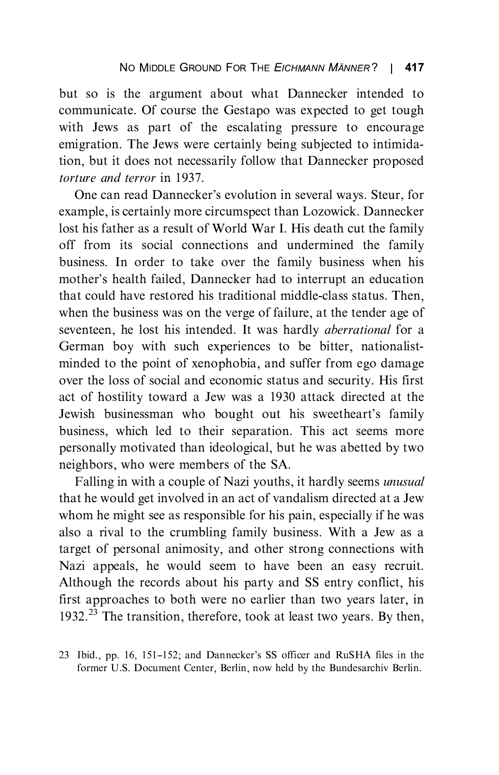but so is the argument about what Dannecker intended to communicate. Of course the Gestapo was expected to get tough with Jews as part of the escalating pressure to encourage. emigration. The Jews were certainly being subjected to intimidation, but it does not necessarily follow that Dannecker proposed torture and terror in 1937.

One can read Dannecker's evolution in several ways. Steur, for<br>example is certainly more circumspect than Lozowick. Dannecker example, is certainly more circumspect than Lozowick. Dannecker lost his father as a result of World War I. His death cut the family off from its social connections and undermined the family business. In order to take over the family business when his mother's health failed, Dannecker had to interrupt an education<br>that eould have restored his traditional middle class status. Then that could have restored his traditional middle-class status. Then, seventeen, he lost his intended. It was hardly *aberrational* for a German boy with such experiences to be bitter, nationalistminded to the point of xenophobia, and suffer from ego damage over the loss of social and economic status and security. His first act of hostility toward a Jew was a 1930 attack directed at the act of hosting toward a 1930 was a 1930 attack directed at the<br>Jewish businessman who bought out his sweetheart's family business, which led to their separation. This act seems more personally motivated than ideological, but he was abetted by two neighbors, who were members of the SA.

Falling in with a couple of Nazi vouths, it hardly seems *unusual* that he would get involved in an act of vandalism directed at a Jew whom he might see as responsible for his pain, especially if he was also a rival to the crumbling family business. With a Jew as a target of personal animosity, and other strong connections with Nazi appeals, he would seem to have been an easy recruit. Although the records about his party and SS entry conflict, his first approaches to both were no earlier than two vears later, in first approximation to both weights in the same two years  $\frac{1}{2}$  and  $\frac{23}{1032}$  The transition, therefore, took at least two years. By then 1932.<sup>23</sup> The transition, therefore, took at least two years. By then,

23 Ibid., pp. 16, 151–152; and Dannecker's SS officer and RuSHA files in the former U.S. Document Center, Berlin, now held by the Bundesarchiv Berlin. former U.S. Document Center, Berlin, now held by the Bundesarchiv Berlin.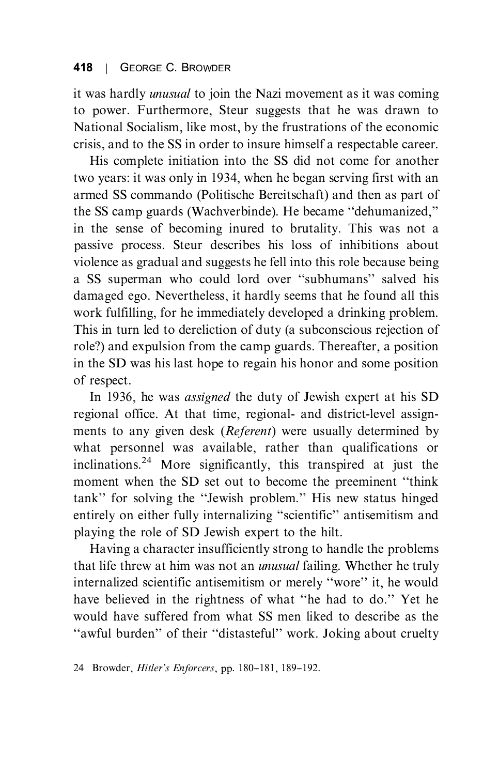it was hardly *unusual* to join the Nazi movement as it was coming<br>to power. Furthermore, Steur suggests that he was drawn to National Socialism, like most, by the frustrations of the economic crisis, and to the SS in order to insure himself a respectable career.

His complete initiation into the SS did not come for another. two vears: it was only in 1934, when he began serving first with an armed SS commando (Politische Bereitschaft) and then as part of armed Solomon (Political Bereitschaft) and the Bereitsche Protection<br>the SS camp guards (Wachverbinde). He became "dehumanized," in the sense of becoming inured to brutality. This was not a passive process. Steur describes his loss of inhibitions about violence as gradual and suggests he fell into this role because being a SS superman who could lord over "subhumans" salved his<br>damaged ago. Nevertheless, it hardly seems that he found all this damaged ego. Nevertheless, it hardly seems that he found all this work fulfilling, for he immediately developed a drinking problem. This in turn led to dereliction of duty (a subconscious rejection of role?) and expulsion from the camp guards. Thereafter, a position in the SD was his last hope to regain his honor and some position in the SD was his last hope to regain his honor and some position of respect.<br>In 1936, he was *assigned* the duty of Jewish expert at his SD

regional office. At that time, regional- and district-level assignments to any given desk (*Referent*) were usually determined by what personnel was available, rather than qualifications or when  $P^2$  More significantly this transmired at just the inclinations.<sup>24</sup> More significantly, this transpired at just the<br>moment when the SD set out to become the preeminent "think tank" for solving the "Jewish problem." His new status hinged<br>entirely on either fully internalizing "sejentifie" anticemitiem and entirely on either fully internalizing "scientific" antisemitism and playing the role of SD Jewish expert to the hilt.

Having a character insufficiently strong to handle the problems that life threw at him was not an *unusual* failing. Whether he truly internalized scientific antisemitism or merely "wore" it, he would<br>have believed in the rightness of what "he hed to do." Vet he have believed in the rightness of what "he had to do." Yet he would have suffered from what SS men liked to describe as the where the suffered from what SS men like to describe as the distribution.

<sup>24</sup> Browder, *Hitler's Enforcers*, pp. 180-181, 189-192.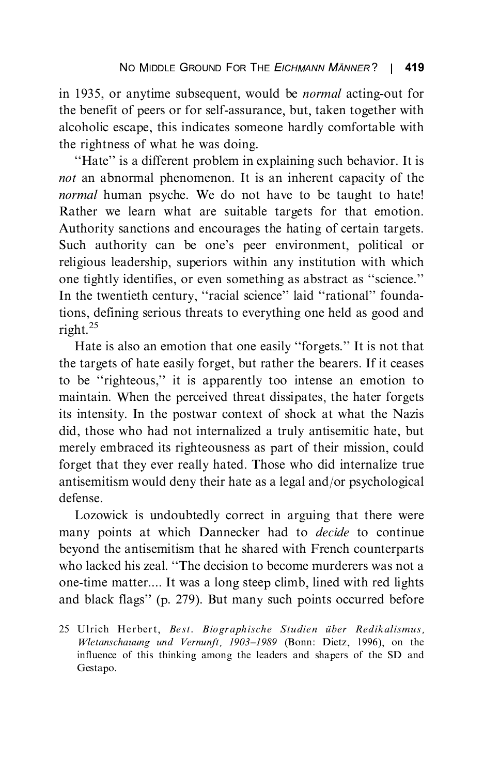in 1935, or anytime subsequent, would be *normal* acting-out for the benefit of peers or for self-assurance, but, taken together with alcoholic escape, this indicates someone hardly comfortable with the rightness of what he was doing.

the rightness of what he was doing.<br>
"Hate" is a different problem in explaining such behavior. It is not an abnormal phenomenon. It is an inherent capacity of the normal human psyche. We do not have to be taught to hate! Rather we learn what are suitable targets for that emotion. Authority sanctions and encourages the hating of certain targets. Such authority can be one's peer environment, political or one tightly identifies, or even something as abstract as "science."<br>In the twentight contury, "regiol science," leid "retional" founds In the twentieth century, "racial science" laid "rational" founda-<br>tions, defining serious threats to everything one held as good and  $\frac{1}{\sqrt{25}}$ right.<sup>25</sup>

Hate is also an emotion that one easily "forgets." It is not that the targets of hate easily forget, but rather the bearers. If it ceases the targets of hate easily sugger, but rather the bearers. If it ceases maintain. When the perceived threat dissipates, the hater forgets its intensity. In the postwar context of shock at what the Nazis did, those who had not internalized a truly antisemitic hate, but merely embraced its righteousness as part of their mission, could forget that they ever really hated. Those who did internalize true for the that they even they even they even they are a set of the second internal internal internal internal internal internal internal internal internal internal internal internal internal internal internal internal intern  $\frac{1}{\sqrt{2}}$  and  $\frac{1}{\sqrt{2}}$  and  $\frac{1}{\sqrt{2}}$  and  $\frac{1}{\sqrt{2}}$  and  $\frac{1}{\sqrt{2}}$  and  $\frac{1}{\sqrt{2}}$  and  $\frac{1}{\sqrt{2}}$ 

Lozowick is undoubtedly correct in arguing that there were many points at which Dannecker had to *decide* to continue bevond the antisemitism that he shared with French counterparts who lacked his zeal. "The decision to become murderers was not a one-time matter.... It was a long steep climb, lined with red lights and black flags" (p. 279). But many such points occurred before

<sup>25</sup> Ulrich Herbert, Best. Biographische Studien über Redikalismus,<br>Wletanschauung und Vernunft, 1903–1989 (Bonn: Dietz, 1996), on the  $W_1$  is the unit  $W_2$  of this thinking among the leaders and shapers of the  $\overline{SD}$  and influence of this thinking among the leaders and shapers of the SD and<br>Gestion Gestapo.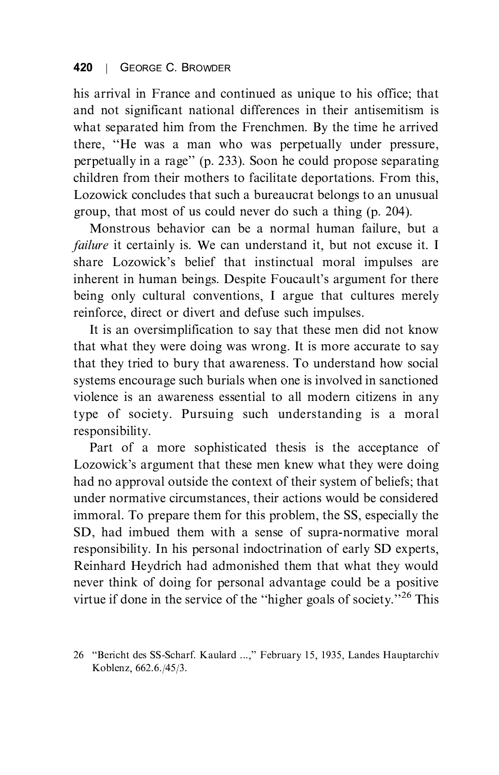## 420 420 | GEORGE C. BROWDER

his arrival in France and continued as unique to his office; that and not significant national differences in their antisemitism is what separated him from the Frenchmen. By the time he arrived there, "He was a man who was perpetually under pressure, perpetually in a rage'' (p. 233). Soon he could propose separating objections from their methods to feelilitate dependence. From this children from their mothers to facilitate deportations. From this,<br>Lozowick concludes that such a bureaucrat belongs to an unusual group, that most of us could never do such a thing  $(p. 204)$ .

Monstrous behavior can be a normal human failure, but a failure it certainly is. We can understand it, but not excuse it. I share Lozowick's belief that instinctual moral impulses are<br>inherent in human beings. Decaite Equality argument for there inherent in human beings. Despite Foucault's argument for there<br>being only cultural conventions. I argue that cultures merely reinforce, direct or divert and defuse such impulses.

It is an oversimplification to say that these men did not know that what they were doing was wrong. It is more accurate to say that they tried to bury that awareness. To understand how social systems encourage such burials when one is involved in sanctioned violence is an awareness essential to all modern citizens in any visite is an awareness essential to all modern citizens in any  $t_{\rm F}$  of society. Pursuing such understanding is a moral responsibility.<br>Part of a more sophisticated thesis is the acceptance of

Part of a more sophisticated the acceptance of the acceptance of the acceptance of the acceptance of the acceptance of the section of the section of the section of the section of the section of the section of the section o had no approval outside the context of their system of beliefs; that under normative circumstances, their actions would be considered immoral. To prepare them for this problem, the SS, especially the SD, had imbued them with a sense of supra-normative moral responsibility. In his personal indoctrination of early SD experts, Reinhard Heydrich had admonished them that what they would never think of doing for personal advantage could be a positive virtue if done in the service of the "higher goals of society."<sup>26</sup> This

<sup>26 &</sup>quot;Bericht des SS-Scharf. Kaulard ...," February 15, 1935, Landes Hauptarchiv Koblenz, 662.6./45/3. Koblenz, 662.6./45/3.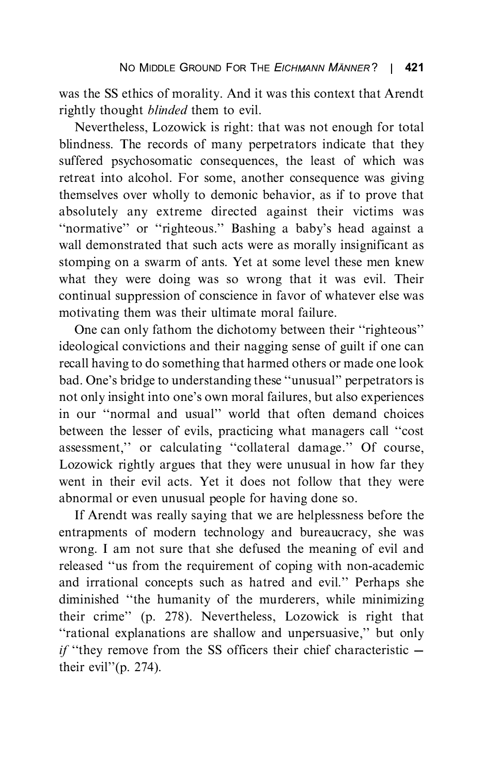was the SS ethics of morality. And it was this context that Arendt rightly thought *blinded* them to evil.

Nevertheless, Lozowick is right: that was not enough for total blindness. The records of many perpetrators indicate that they suffered psychosomatic consequences, the least of which was retreat into alcohol. For some, another consequence was giving themselves over wholly to demonic behavior, as if to prove that absolutely any extreme directed against their victims was "normative" or "righteous." Bashing a baby's head against a<br>wall demonstrated that such acts were as morally insignificant as wall demonstrated that such acts were as morally insignificant as stomping on a swarm of ants. Yet at some level these men knew what they were doing was so wrong that it was evil. Their continual suppression of conscience in favor of whatever else was motivating them was their ultimate moral failure.

One can only fathom the dichotomy between their "righteous" ideological convictions and their nagging sense of guilt if one can recall having to do something that harmed others or made one look bad. One's bridge to understanding these "unusual" perpetrators is<br>not only insight into one's own moral foilures, but also experiences not only insight into one's own moral failures, but also experiences in our "normal and usual" world that often demand choices between the lesser of evils, practicing what managers call "cost" assessment," or calculating "collateral damage." Of course, Lozowick rightly argues that they were unusual in how far they went in their evil acts. Yet it does not follow that they were abnormal or even unusual people for having done so.

If Arendt was really saying that we are helplessness before the entrapments of modern technology and bureaucracy, she was wrong. I am not sure that she defused the meaning of evil and released "us from the requirement of coping with non-academic and irrational concepts such as hatred and evil.'' Perhaps she<br>diminished "the humanity of the murderers while minimizing  $\frac{d}{dt}$  their crime'' (p. 278). Nevertheless, Lozowick is right that "rational explanations are shallow and unpersuasive" but only "rational explanations are shallow and unpersuasive," but only  $if$  "they remove from the SS officers their chief characteristic  $$ their evil''(p. 274).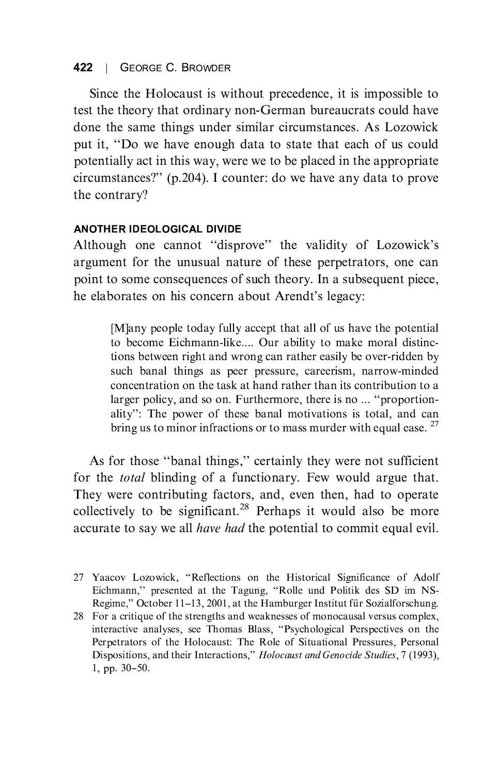# 422 | GEORGE C. BROWDER

Since the Holocaust is without precedence, it is impossible to test the theory that ordinary non-German bureaucrats could have done the same things under similar circumstances. As Lozowick put it, "Do we have enough data to state that each of us could potentially act in this way, were we to be placed in the appropriate circumstances?'' (p.204). I counter: do we have any data to prove the contrary?

## **ANOTHER IDEOLOGICAL DIVIDE**

Although one cannot "disprove" the validity of Lozowick's argument for the unusual nature of these perpetrators, one can point to some consequences of such theory. In a subsequent piece, he elaborates on his concern about Arendt's legacy:

> [M]any people today fully accept that all of us have the potential tions between right and wrong can rather easily be over-ridden by such banal things as peer pressure, careerism, narrow-minded concentration on the task at hand rather than its contribution to a larger policy, and so on. Furthermore, there is no ... "proportionlarger policy. The power of these banal motivations is total, and can<br>hermore, the power of these banal motivations is total, and can bring us to minor infractions or to mass murder with equal ease.  $27$

As for those "banal things," certainly they were not sufficient<br>for the *total* blinding of a functionary. Few would argue that. They were contributing factors, and, even then, had to operate. collectively to be significant.<sup>28</sup> Perhaps it would also be more accurate to say we all *have had* the potential to commit equal evil. accurate to say we all have had the potential to commit  $q$  all  $\ell$ 

Eichmann," presented at the Tagung, "Rolle und Politik des SD im NS-<br>Regime "October 11–13, 2001 at the Hamburger Institut für Sozialforschung Regime," October 11-13, 2001, at the Hamburger Institut für Sozialforschung.<br>28 For a critique of the strengths and weaknesses of monocausal versus complex,

interactive analyses, see Thomas Blass, "Psychological Perspectives on the Perpetrators of the Holocaust: The Role of Situational Pressures, Personal Dispositions, and their Interactions,'' *Holocaust and Genocide Studies*, 7 (1993),<br>1 pp. 30–50 1, pp. 30--50.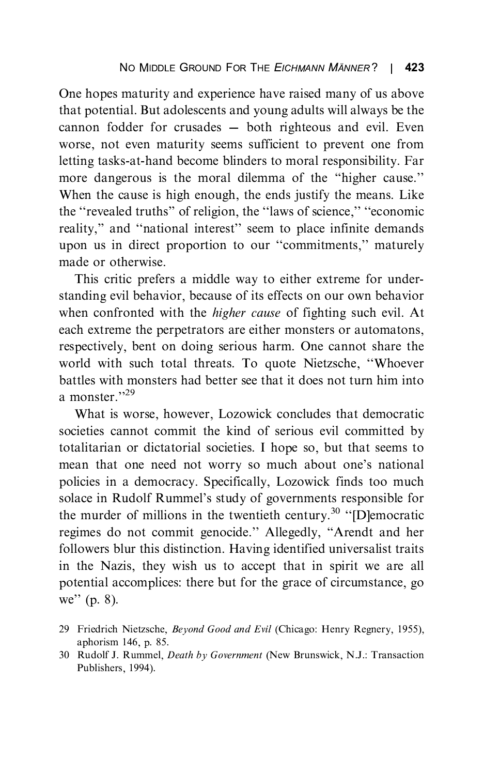One hopes maturity and experience have raised many of us above that potential. But adolescents and young adults will always be the cannon fodder for crusades  $-$  both righteous and evil. Even worse, not even maturity seems sufficient to prevent one from letting tasks-at-hand become blinders to moral responsibility. Far more dangerous is the moral dilemma of the "higher cause."<br>When the cause is high enough, the ands justify the moons. I ike the "revealed truths" of religion, the "laws of science," "economic religion" and "institute interest" seem to place infinite demands. reality," and "national interest" seem to place infinite demands upon us in direct proportion to our "commitments," maturely made or otherwise.

This critic prefers a middle way to either extreme for understanding evil behavior, because of its effects on our own behavior when confronted with the *higher cause* of fighting such evil. At each extreme the perpetrators are either monsters or automatons, respectively, bent on doing serious harm. One cannot share the world with such total threats. To quote Nietzsche, "Whoever battles with monsters had better see that it does not turn him into a monster."<sup>29</sup><br>What is worse, however, I exewisk concludes that democratic

What is worse, however, Lozowick concludes that democratic societies cannot commit the kind of serious evil committed by totalitarian or dictatorial societies. I hope so, but that seems to totalitarian or dictatorial societies. I hope so, the land seems to<br>mean that one need not worry so much about one's national solace in Rudolf Rummel's study of governments responsible for<br>the murder of millions in the twortigth contury <sup>30</sup> "Democratic the murder of millions in the twentieth century. [D]emocratic<br>regimes do not commit genecide." Allegedly, "Arendt and ber regimes do not commit genocide." Allegedly, "Arendt and her<br>followers blur this distinction. Having identified universalist traits followers blur this distinction. Having identified universalist traits<br>in the Nazis, they wish us to accept that in spirit we are all potential accomplices: there but for the grace of circumstance, go potential accomplises: there but for the grace of circumstance, go<br>well. (n,  $\ell$ ) we'' (p. 8).

<sup>29</sup> Friedrich Nietzsche, Beyond Good and Evil (Chicago: Henry Regnery, 1955), aphorism 146, p. 85.

<sup>30</sup> Rudolf J. Rummel, Death by Government (New Brunswick, N.J.: Transaction Publishers, 1994). Publishers, 1994).